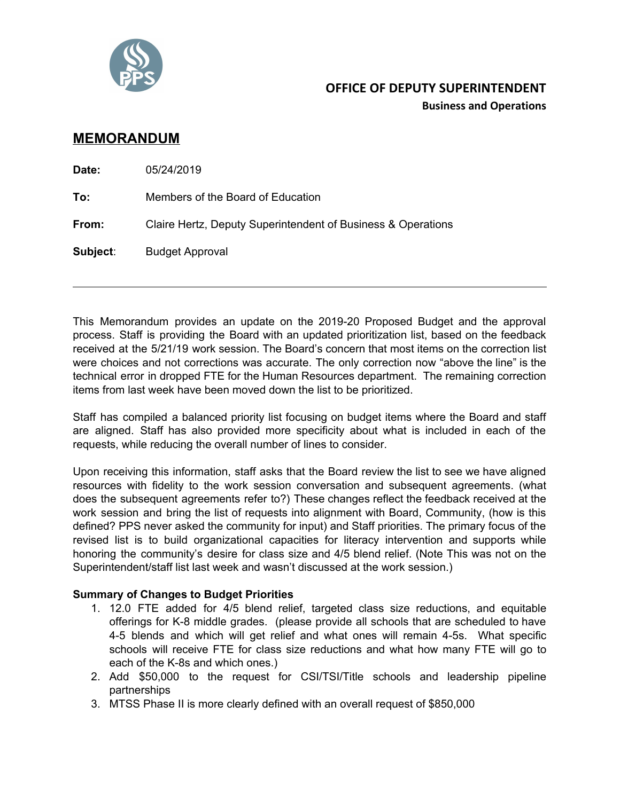

## **OFFICE OF DEPUTY SUPERINTENDENT**

**Business and Operations**

## **MEMORANDUM**

| Date:    | 05/24/2019                                                   |
|----------|--------------------------------------------------------------|
| To:      | Members of the Board of Education                            |
| From:    | Claire Hertz, Deputy Superintendent of Business & Operations |
| Subject: | <b>Budget Approval</b>                                       |
|          |                                                              |

This Memorandum provides an update on the 2019-20 Proposed Budget and the approval process. Staff is providing the Board with an updated prioritization list, based on the feedback received at the 5/21/19 work session. The Board's concern that most items on the correction list were choices and not corrections was accurate. The only correction now "above the line" is the technical error in dropped FTE for the Human Resources department. The remaining correction items from last week have been moved down the list to be prioritized.

Staff has compiled a balanced priority list focusing on budget items where the Board and staff are aligned. Staff has also provided more specificity about what is included in each of the requests, while reducing the overall number of lines to consider.

Upon receiving this information, staff asks that the Board review the list to see we have aligned resources with fidelity to the work session conversation and subsequent agreements. (what does the subsequent agreements refer to?) These changes reflect the feedback received at the work session and bring the list of requests into alignment with Board, Community, (how is this defined? PPS never asked the community for input) and Staff priorities. The primary focus of the revised list is to build organizational capacities for literacy intervention and supports while honoring the community's desire for class size and 4/5 blend relief. (Note This was not on the Superintendent/staff list last week and wasn't discussed at the work session.)

## **Summary of Changes to Budget Priorities**

- 1. 12.0 FTE added for 4/5 blend relief, targeted class size reductions, and equitable offerings for K-8 middle grades. (please provide all schools that are scheduled to have 4-5 blends and which will get relief and what ones will remain 4-5s. What specific schools will receive FTE for class size reductions and what how many FTE will go to each of the K-8s and which ones.)
- 2. Add \$50,000 to the request for CSI/TSI/Title schools and leadership pipeline partnerships
- 3. MTSS Phase II is more clearly defined with an overall request of \$850,000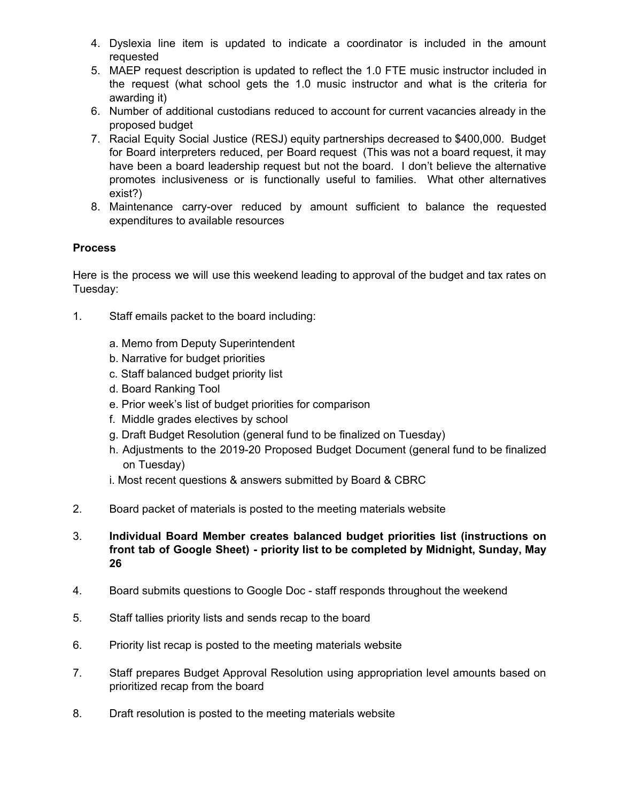- 4. Dyslexia line item is updated to indicate a coordinator is included in the amount requested
- 5. MAEP request description is updated to reflect the 1.0 FTE music instructor included in the request (what school gets the 1.0 music instructor and what is the criteria for awarding it)
- 6. Number of additional custodians reduced to account for current vacancies already in the proposed budget
- 7. Racial Equity Social Justice (RESJ) equity partnerships decreased to \$400,000. Budget for Board interpreters reduced, per Board request (This was not a board request, it may have been a board leadership request but not the board. I don't believe the alternative promotes inclusiveness or is functionally useful to families. What other alternatives exist?)
- 8. Maintenance carry-over reduced by amount sufficient to balance the requested expenditures to available resources

## **Process**

Here is the process we will use this weekend leading to approval of the budget and tax rates on Tuesday:

- 1. Staff emails packet to the board including:
	- a. Memo from Deputy Superintendent
	- b. Narrative for budget priorities
	- c. Staff balanced budget priority list
	- d. Board Ranking Tool
	- e. Prior week's list of budget priorities for comparison
	- f. Middle grades electives by school
	- g. Draft Budget Resolution (general fund to be finalized on Tuesday)
	- h. Adjustments to the 2019-20 Proposed Budget Document (general fund to be finalized on Tuesday)
	- i. Most recent questions & answers submitted by Board & CBRC
- 2. Board packet of materials is posted to the meeting materials website
- 3. **Individual Board Member creates balanced budget priorities list (instructions on front tab of Google Sheet) - priority list to be completed by Midnight, Sunday, May 26**
- 4. Board submits questions to Google Doc staff responds throughout the weekend
- 5. Staff tallies priority lists and sends recap to the board
- 6. Priority list recap is posted to the meeting materials website
- 7. Staff prepares Budget Approval Resolution using appropriation level amounts based on prioritized recap from the board
- 8. Draft resolution is posted to the meeting materials website